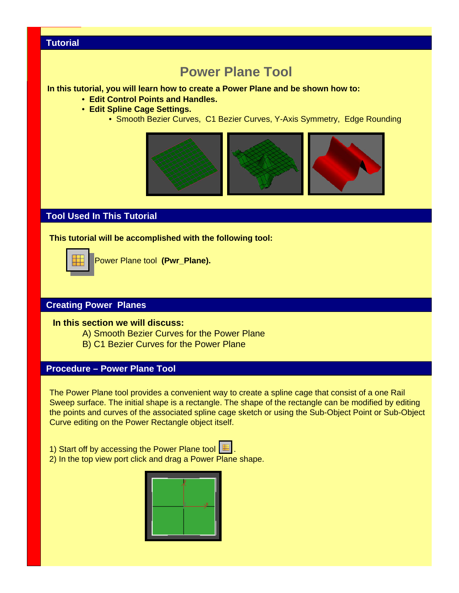# **Power Plane Tool**

#### **In this tutorial, you will learn how to create a Power Plane and be shown how to:**

- **Edit Control Points and Handles.**
- **Edit Spline Cage Settings.**
	- Smooth Bezier Curves, C1 Bezier Curves, Y-Axis Symmetry, Edge Rounding



## **Tool Used In This Tutorial**

#### **This tutorial will be accomplished with the following tool:**



Power Plane tool **(Pwr\_Plane).**

## **Creating Power Planes**

#### **In this section we will discuss:**

- A) Smooth Bezier Curves for the Power Plane
- B) C1 Bezier Curves for the Power Plane

#### **Procedure – Power Plane Tool**

The Power Plane tool provides a convenient way to create a spline cage that consist of a one Rail Sweep surface. The initial shape is a rectangle. The shape of the rectangle can be modified by editing the points and curves of the associated spline cage sketch or using the Sub-Object Point or Sub-Object Curve editing on the Power Rectangle object itself.

- 1) Start off by accessing the Power Plane tool  $\Box$
- 2) In the top view port click and drag a Power Plane shape.

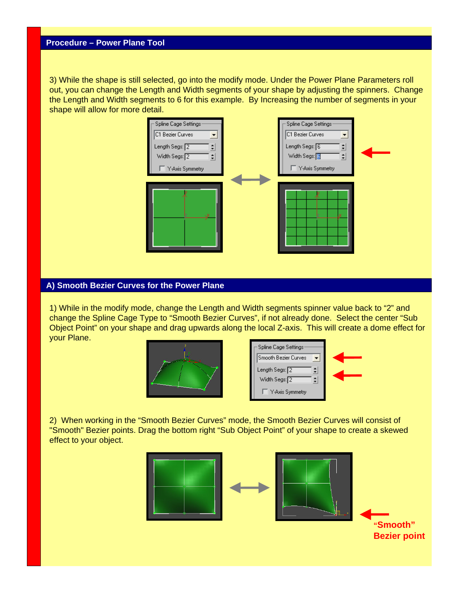3) While the shape is still selected, go into the modify mode. Under the Power Plane Parameters roll out, you can change the Length and Width segments of your shape by adjusting the spinners. Change the Length and Width segments to 6 for this example. By Increasing the number of segments in your shape will allow for more detail.

| Spline Cage Settings | Spline Cage Settings: |  |
|----------------------|-----------------------|--|
| C1 Bezier Curves     | C1 Bezier Curves<br>▼ |  |
| Length Segs: 2<br>÷  | Length Segs: 6        |  |
| Width Segs: 2<br>÷   | Width Segs: 8<br>÷    |  |
| Y-Axis Symmetry      | Y-Axis Symmetry       |  |
|                      |                       |  |
|                      |                       |  |
|                      |                       |  |
| ×.                   |                       |  |
|                      |                       |  |
|                      |                       |  |
|                      |                       |  |

#### **A) Smooth Bezier Curves for the Power Plane**

1) While in the modify mode, change the Length and Width segments spinner value back to "2" and change the Spline Cage Type to "Smooth Bezier Curves", if not already done. Select the center "Sub Object Point" on your shape and drag upwards along the local Z-axis. This will create a dome effect for your Plane.



| Spline Cage Settings |  |
|----------------------|--|
| Smooth Bezier Curves |  |
| Length Segs: 2       |  |
| Width Segs: 2        |  |
| Y-Axis Symmetry      |  |

2) When working in the "Smooth Bezier Curves" mode, the Smooth Bezier Curves will consist of "Smooth" Bezier points. Drag the bottom right "Sub Object Point" of your shape to create a skewed effect to your object.



**"Smooth" Bezier point**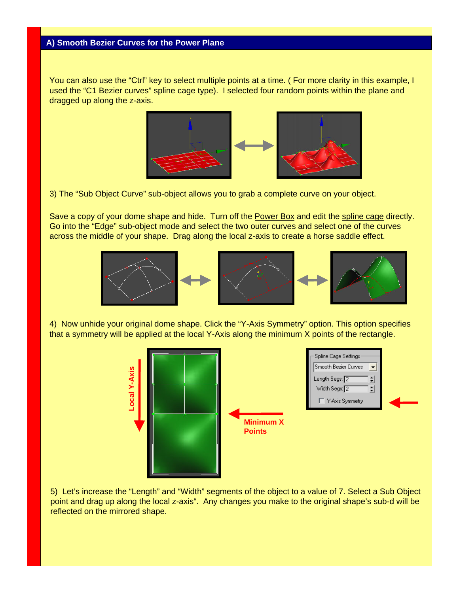You can also use the "Ctrl" key to select multiple points at a time. (For more clarity in this example, I used the "C1 Bezier curves" spline cage type). I selected four random points within the plane and dragged up along the z-axis.



3) The "Sub Object Curve" sub-object allows you to grab a complete curve on your object.

Save a copy of your dome shape and hide. Turn off the Power Box and edit the spline cage directly. Go into the "Edge" sub-object mode and select the two outer curves and select one of the curves across the middle of your shape. Drag along the local z-axis to create a horse saddle effect.



4) Now unhide your original dome shape. Click the "Y-Axis Symmetry" option. This option specifies that a symmetry will be applied at the local Y-Axis along the minimum X points of the rectangle.



5) Let's increase the "Length" and "Width" segments of the object to a value of 7. Select a Sub Object point and drag up along the local z-axis". Any changes you make to the original shape's sub-d will be reflected on the mirrored shape.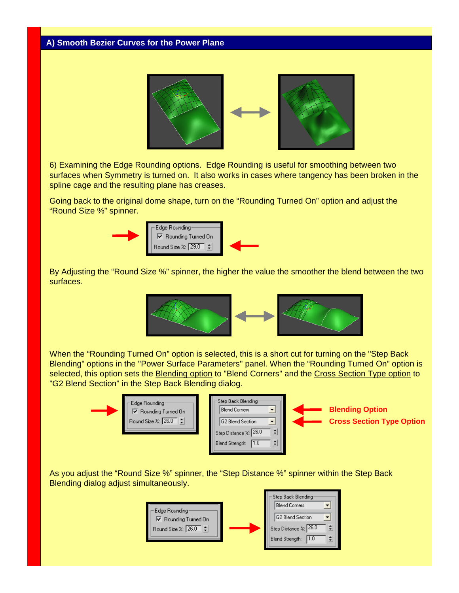

6) Examining the Edge Rounding options. Edge Rounding is useful for smoothing between two surfaces when Symmetry is turned on. It also works in cases where tangency has been broken in the spline cage and the resulting plane has creases.

Going back to the original dome shape, turn on the "Rounding Turned On" option and adjust the "Round Size %" spinner.



By Adjusting the "Round Size %" spinner, the higher the value the smoother the blend between the two surfaces.



When the "Rounding Turned On" option is selected, this is a short cut for turning on the "Step Back Blending" options in the "Power Surface Parameters" panel. When the "Rounding Turned On" option is selected, this option sets the Blending option to "Blend Corners" and the Cross Section Type option to "G2 Blend Section" in the Step Back Blending dialog.



As you adjust the "Round Size %" spinner, the "Step Distance %" spinner within the Step Back Blending dialog adjust simultaneously.

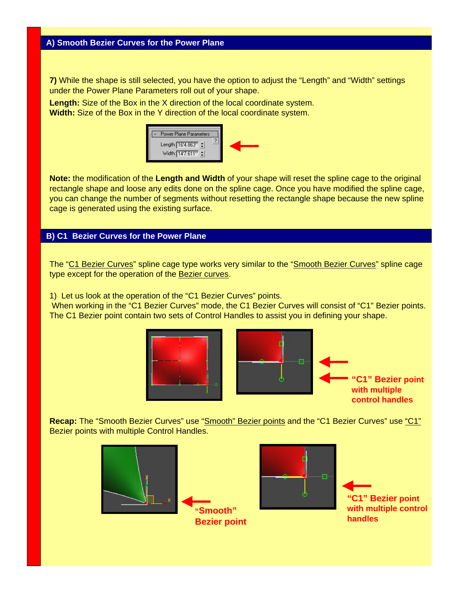**7)** While the shape is still selected, you have the option to adjust the "Length" and "Width" settings under the Power Plane Parameters roll out of your shape.

**Length:** Size of the Box in the X direction of the local coordinate system. **Width:** Size of the Box in the Y direction of the local coordinate system.



**Note:** the modification of the **Length and Width** of your shape will reset the spline cage to the original rectangle shape and loose any edits done on the spline cage. Once you have modified the spline cage, you can change the number of segments without resetting the rectangle shape because the new spline cage is generated using the existing surface.

#### **B) C1 Bezier Curves for the Power Plane**

The "C1 Bezier Curves" spline cage type works very similar to the "Smooth Bezier Curves" spline cage type except for the operation of the Bezier curves.

1) Let us look at the operation of the "C1 Bezier Curves" points.

When working in the "C1 Bezier Curves" mode, the C1 Bezier Curves will consist of "C1" Bezier points. The C1 Bezier point contain two sets of Control Handles to assist you in defining your shape.





**"C1" Bezier point with multiple control handles**

**Recap:** The "Smooth Bezier Curves" use "Smooth" Bezier points and the "C1 Bezier Curves" use "C1" Bezier points with multiple Control Handles.





F.

**"C1" Bezier point with multiple control handles**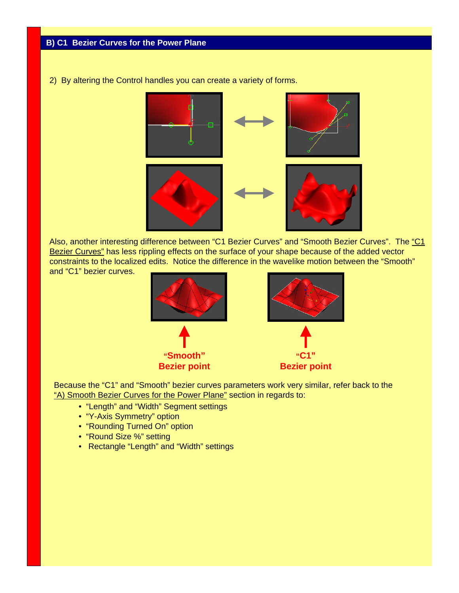2) By altering the Control handles you can create a variety of forms.



Also, another interesting difference between "C1 Bezier Curves" and "Smooth Bezier Curves". The "C1 Bezier Curves" has less rippling effects on the surface of your shape because of the added vector constraints to the localized edits. Notice the difference in the wavelike motion between the "Smooth" and "C1" bezier curves.



Because the "C1" and "Smooth" bezier curves parameters work very similar, refer back to the "A) Smooth Bezier Curves for the Power Plane" section in regards to:

- "Length" and "Width" Segment settings
- "Y-Axis Symmetry" option
- "Rounding Turned On" option
- "Round Size %" setting
- Rectangle "Length" and "Width" settings